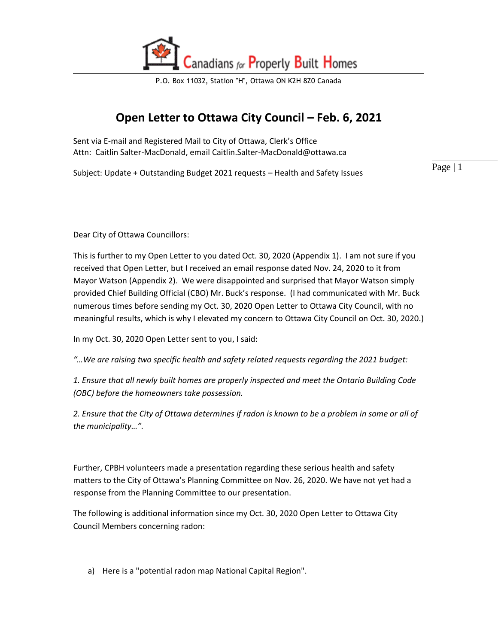

# **Open Letter to Ottawa City Council – Feb. 6, 2021**

Sent via E-mail and Registered Mail to City of Ottawa, Clerk's Office Attn: Caitlin Salter-MacDonald, email Caitlin.Salter-MacDonald@ottawa.ca

Subject: Update + Outstanding Budget 2021 requests – Health and Safety Issues

Page | 1

Dear City of Ottawa Councillors:

This is further to my Open Letter to you dated Oct. 30, 2020 (Appendix 1). I am not sure if you received that Open Letter, but I received an email response dated Nov. 24, 2020 to it from Mayor Watson (Appendix 2). We were disappointed and surprised that Mayor Watson simply provided Chief Building Official (CBO) Mr. Buck's response. (I had communicated with Mr. Buck numerous times before sending my Oct. 30, 2020 Open Letter to Ottawa City Council, with no meaningful results, which is why I elevated my concern to Ottawa City Council on Oct. 30, 2020.)

In my Oct. 30, 2020 Open Letter sent to you, I said:

*"…We are raising two specific health and safety related requests regarding the 2021 budget:* 

*1. Ensure that all newly built homes are properly inspected and meet the Ontario Building Code (OBC) before the homeowners take possession.* 

*2. Ensure that the City of Ottawa determines if radon is known to be a problem in some or all of the municipality…".*

Further, CPBH volunteers made a presentation regarding these serious health and safety matters to the City of Ottawa's Planning Committee on Nov. 26, 2020. We have not yet had a response from the Planning Committee to our presentation.

The following is additional information since my Oct. 30, 2020 Open Letter to Ottawa City Council Members concerning radon:

a) Here is a "potential radon map National Capital Region".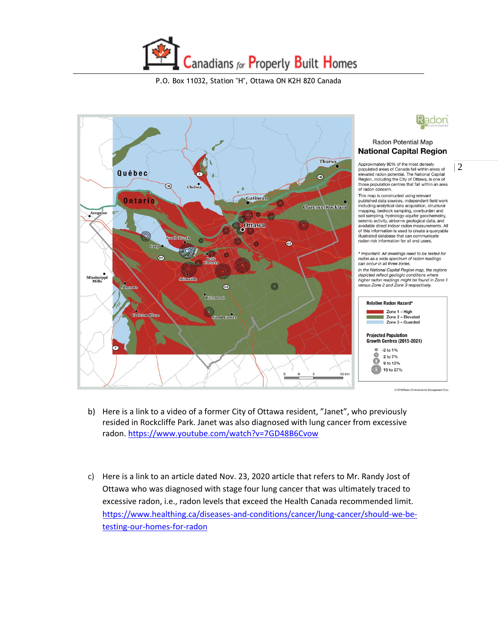





#### Radon Potential Map **National Capital Region**

 $\begin{array}{l|l} \text{Approximately 80\% of the most densely} \\ \text{populated areas of Canada fall within areas of} & 2 \\ \text{elevated radon potential. The National Capital} \end{array} \bigg | \begin{array}{l} 2 \end{array}$ Region, including the City of Ottawa, is one of those population centres that fall within an area of radon concern.

This map is constructed using relevant published data sources, independent field work including analytical data acquisition, structura<br>mapping, bedrock sampling, overburden and soil sampling, hydrology-aquifer geochemistry,<br>seismic activity, airborne geological data, and<br>available direct indoor radon measurements. All of this information is used to create a queryable illustrated database that can communicate radon risk information for all end users.

Important: All dwellings need to be tested for radon as a wide spectrum of radon readings can occur in all three zones.

In the National Capital Region map, the regions<br>depicted reflect geologic conditions where higher radon readings might be found in Zone 1 versus Zone 2 and Zone 3 respectively.



@ 2016 Radon Friving mental Mana

- b) Here is a link to a video of a former City of Ottawa resident, "Janet", who previously resided in Rockcliffe Park. Janet was also diagnosed with lung cancer from excessive radon[. https://www.youtube.com/watch?v=7GD48B6Cvow](https://www.youtube.com/watch?v=7GD48B6Cvow)
- c) Here is a link to an article dated Nov. 23, 2020 article that refers to Mr. Randy Jost of Ottawa who was diagnosed with stage four lung cancer that was ultimately traced to excessive radon, i.e., radon levels that exceed the Health Canada recommended limit. [https://www.healthing.ca/diseases-and-conditions/cancer/lung-cancer/should-we-be](https://urldefense.proofpoint.com/v2/url?u=https-3A__www.healthing.ca_diseases-2Dand-2Dconditions_cancer_lung-2Dcancer_should-2Dwe-2Dbe-2Dtesting-2Dour-2Dhomes-2Dfor-2Dradon&d=DwMGaQ&c=KjisrLs2D0AXJmZjByAnZA&r=iS-F8jGucoR-Gd5V3KaMI3PDIdFG_dCSDG2ZBDl9qz4&m=KIP3mLc3JgvjveR_z04tNIzBPTKnivt5tytb-HZFWcs&s=FY5mlVpoyOVIW4h_o11H4g4u7ab_VpOIvjGF3wOi8SM&e=)[testing-our-homes-for-radon](https://urldefense.proofpoint.com/v2/url?u=https-3A__www.healthing.ca_diseases-2Dand-2Dconditions_cancer_lung-2Dcancer_should-2Dwe-2Dbe-2Dtesting-2Dour-2Dhomes-2Dfor-2Dradon&d=DwMGaQ&c=KjisrLs2D0AXJmZjByAnZA&r=iS-F8jGucoR-Gd5V3KaMI3PDIdFG_dCSDG2ZBDl9qz4&m=KIP3mLc3JgvjveR_z04tNIzBPTKnivt5tytb-HZFWcs&s=FY5mlVpoyOVIW4h_o11H4g4u7ab_VpOIvjGF3wOi8SM&e=)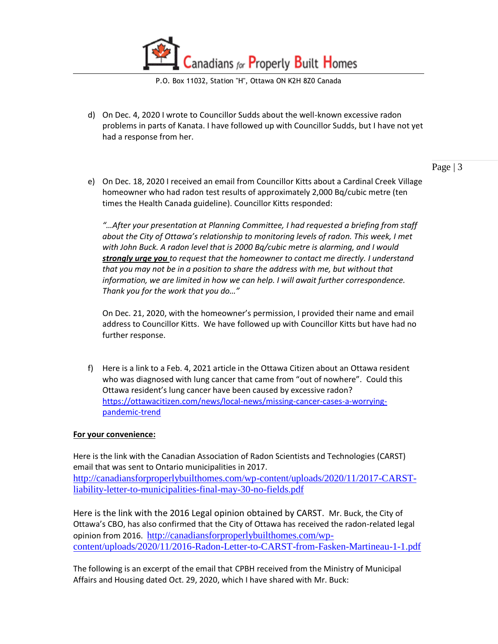

d) On Dec. 4, 2020 I wrote to Councillor Sudds about the well-known excessive radon problems in parts of Kanata. I have followed up with Councillor Sudds, but I have not yet had a response from her.

Page | 3

e) On Dec. 18, 2020 I received an email from Councillor Kitts about a Cardinal Creek Village homeowner who had radon test results of approximately 2,000 Bq/cubic metre (ten times the Health Canada guideline). Councillor Kitts responded:

*"…After your presentation at Planning Committee, I had requested a briefing from staff about the City of Ottawa's relationship to monitoring levels of radon. This week, I met with John Buck. A radon level that is 2000 Bq/cubic metre is alarming, and I would strongly urge you to request that the homeowner to contact me directly. I understand that you may not be in a position to share the address with me, but without that information, we are limited in how we can help. I will await further correspondence. Thank you for the work that you do…"*

On Dec. 21, 2020, with the homeowner's permission, I provided their name and email address to Councillor Kitts. We have followed up with Councillor Kitts but have had no further response.

f) Here is a link to a Feb. 4, 2021 article in the Ottawa Citizen about an Ottawa resident who was diagnosed with lung cancer that came from "out of nowhere". Could this Ottawa resident's lung cancer have been caused by excessive radon? [https://ottawacitizen.com/news/local-news/missing-cancer-cases-a-worrying](https://ottawacitizen.com/news/local-news/missing-cancer-cases-a-worrying-pandemic-trend)[pandemic-trend](https://ottawacitizen.com/news/local-news/missing-cancer-cases-a-worrying-pandemic-trend)

#### **For your convenience:**

Here is the link with the Canadian Association of Radon Scientists and Technologies (CARST) email that was sent to Ontario municipalities in 2017. [http://canadiansforproperlybuilthomes.com/wp-content/uploads/2020/11/2017-CARST](http://canadiansforproperlybuilthomes.com/wp-content/uploads/2020/11/2017-CARST-liability-letter-to-municipalities-final-may-30-no-fields.pdf)[liability-letter-to-municipalities-final-may-30-no-fields.pdf](http://canadiansforproperlybuilthomes.com/wp-content/uploads/2020/11/2017-CARST-liability-letter-to-municipalities-final-may-30-no-fields.pdf)

Here is the link with the 2016 Legal opinion obtained by CARST. Mr. Buck, the City of Ottawa's CBO, has also confirmed that the City of Ottawa has received the radon-related legal opinion from 2016. [http://canadiansforproperlybuilthomes.com/wp](http://canadiansforproperlybuilthomes.com/wp-content/uploads/2020/11/2016-Radon-Letter-to-CARST-from-Fasken-Martineau-1-1.pdf)[content/uploads/2020/11/2016-Radon-Letter-to-CARST-from-Fasken-Martineau-1-1.pdf](http://canadiansforproperlybuilthomes.com/wp-content/uploads/2020/11/2016-Radon-Letter-to-CARST-from-Fasken-Martineau-1-1.pdf)

The following is an excerpt of the email that CPBH received from the Ministry of Municipal Affairs and Housing dated Oct. 29, 2020, which I have shared with Mr. Buck: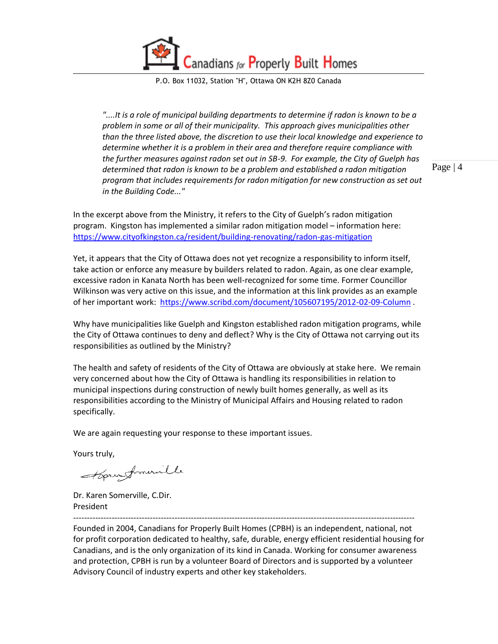anadians for Properly Built Homes

P.O. Box 11032, Station "H", Ottawa ON K2H 8Z0 Canada

*"....It is a role of municipal building departments to determine if radon is known to be a problem in some or all of their municipality. This approach gives municipalities other than the three listed above, the discretion to use their local knowledge and experience to determine whether it is a problem in their area and therefore require compliance with the further measures against radon set out in SB-9. For example, the City of Guelph has determined that radon is known to be a problem and established a radon mitigation program that includes requirements for radon mitigation for new construction as set out in the Building Code..."*

Page | 4

In the excerpt above from the Ministry, it refers to the City of Guelph's radon mitigation program. Kingston has implemented a similar radon mitigation model – information here: <https://www.cityofkingston.ca/resident/building-renovating/radon-gas-mitigation>

Yet, it appears that the City of Ottawa does not yet recognize a responsibility to inform itself, take action or enforce any measure by builders related to radon. Again, as one clear example, excessive radon in Kanata North has been well-recognized for some time. Former Councillor Wilkinson was very active on this issue, and the information at this link provides as an example of her important work: <https://www.scribd.com/document/105607195/2012-02-09-Column> .

Why have municipalities like Guelph and Kingston established radon mitigation programs, while the City of Ottawa continues to deny and deflect? Why is the City of Ottawa not carrying out its responsibilities as outlined by the Ministry?

The health and safety of residents of the City of Ottawa are obviously at stake here. We remain very concerned about how the City of Ottawa is handling its responsibilities in relation to municipal inspections during construction of newly built homes generally, as well as its responsibilities according to the Ministry of Municipal Affairs and Housing related to radon specifically.

We are again requesting your response to these important issues.

Yours truly,

Hora fromeraille

Dr. Karen Somerville, C.Dir. President

Founded in 2004, Canadians for Properly Built Homes (CPBH) is an independent, national, not for profit corporation dedicated to healthy, safe, durable, energy efficient residential housing for Canadians, and is the only organization of its kind in Canada. Working for consumer awareness and protection, CPBH is run by a volunteer Board of Directors and is supported by a volunteer Advisory Council of industry experts and other key stakeholders.

-----------------------------------------------------------------------------------------------------------------------------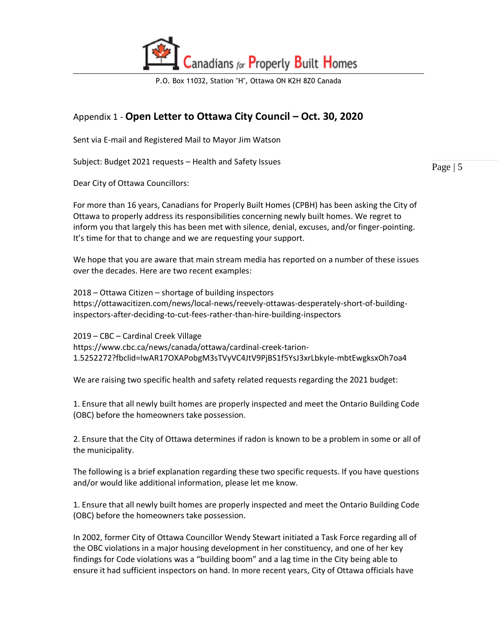

## Appendix 1 - **Open Letter to Ottawa City Council – Oct. 30, 2020**

Sent via E-mail and Registered Mail to Mayor Jim Watson

Subject: Budget 2021 requests – Health and Safety Issues

Dear City of Ottawa Councillors:

For more than 16 years, Canadians for Properly Built Homes (CPBH) has been asking the City of Ottawa to properly address its responsibilities concerning newly built homes. We regret to inform you that largely this has been met with silence, denial, excuses, and/or finger-pointing. It's time for that to change and we are requesting your support.

We hope that you are aware that main stream media has reported on a number of these issues over the decades. Here are two recent examples:

2018 – Ottawa Citizen – shortage of building inspectors https://ottawacitizen.com/news/local-news/reevely-ottawas-desperately-short-of-buildinginspectors-after-deciding-to-cut-fees-rather-than-hire-building-inspectors

2019 – CBC – Cardinal Creek Village https://www.cbc.ca/news/canada/ottawa/cardinal-creek-tarion-1.5252272?fbclid=IwAR17OXAPobgM3sTVyVC4JtV9PjBS1f5YsJ3xrLbkyIe-mbtEwgksxOh7oa4

We are raising two specific health and safety related requests regarding the 2021 budget:

1. Ensure that all newly built homes are properly inspected and meet the Ontario Building Code (OBC) before the homeowners take possession.

2. Ensure that the City of Ottawa determines if radon is known to be a problem in some or all of the municipality.

The following is a brief explanation regarding these two specific requests. If you have questions and/or would like additional information, please let me know.

1. Ensure that all newly built homes are properly inspected and meet the Ontario Building Code (OBC) before the homeowners take possession.

In 2002, former City of Ottawa Councillor Wendy Stewart initiated a Task Force regarding all of the OBC violations in a major housing development in her constituency, and one of her key findings for Code violations was a "building boom" and a lag time in the City being able to ensure it had sufficient inspectors on hand. In more recent years, City of Ottawa officials have

Page | 5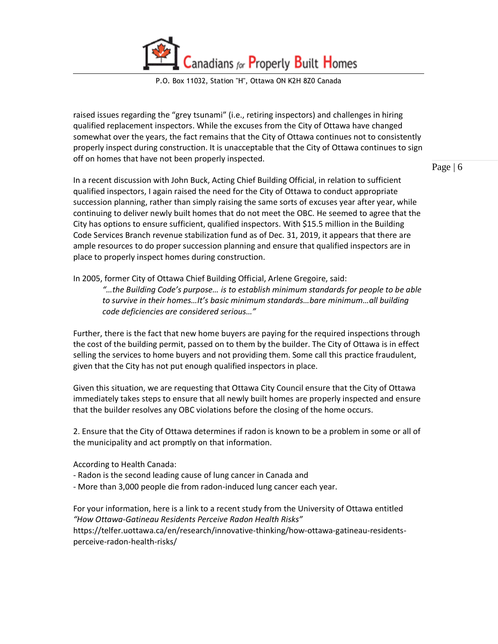anadians for Properly Built Homes

P.O. Box 11032, Station "H", Ottawa ON K2H 8Z0 Canada

raised issues regarding the "grey tsunami" (i.e., retiring inspectors) and challenges in hiring qualified replacement inspectors. While the excuses from the City of Ottawa have changed somewhat over the years, the fact remains that the City of Ottawa continues not to consistently properly inspect during construction. It is unacceptable that the City of Ottawa continues to sign off on homes that have not been properly inspected.

Page | 6

In a recent discussion with John Buck, Acting Chief Building Official, in relation to sufficient qualified inspectors, I again raised the need for the City of Ottawa to conduct appropriate succession planning, rather than simply raising the same sorts of excuses year after year, while continuing to deliver newly built homes that do not meet the OBC. He seemed to agree that the City has options to ensure sufficient, qualified inspectors. With \$15.5 million in the Building Code Services Branch revenue stabilization fund as of Dec. 31, 2019, it appears that there are ample resources to do proper succession planning and ensure that qualified inspectors are in place to properly inspect homes during construction.

In 2005, former City of Ottawa Chief Building Official, Arlene Gregoire, said:

*"…the Building Code's purpose… is to establish minimum standards for people to be able to survive in their homes…It's basic minimum standards…bare minimum…all building code deficiencies are considered serious…"* 

Further, there is the fact that new home buyers are paying for the required inspections through the cost of the building permit, passed on to them by the builder. The City of Ottawa is in effect selling the services to home buyers and not providing them. Some call this practice fraudulent, given that the City has not put enough qualified inspectors in place.

Given this situation, we are requesting that Ottawa City Council ensure that the City of Ottawa immediately takes steps to ensure that all newly built homes are properly inspected and ensure that the builder resolves any OBC violations before the closing of the home occurs.

2. Ensure that the City of Ottawa determines if radon is known to be a problem in some or all of the municipality and act promptly on that information.

According to Health Canada:

- Radon is the second leading cause of lung cancer in Canada and
- More than 3,000 people die from radon-induced lung cancer each year.

For your information, here is a link to a recent study from the University of Ottawa entitled *"How Ottawa-Gatineau Residents Perceive Radon Health Risks"*  https://telfer.uottawa.ca/en/research/innovative-thinking/how-ottawa-gatineau-residentsperceive-radon-health-risks/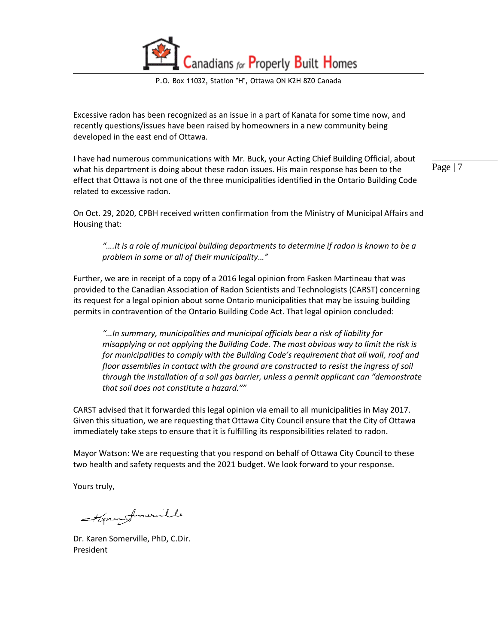anadians for Properly Built Homes

P.O. Box 11032, Station "H", Ottawa ON K2H 8Z0 Canada

Excessive radon has been recognized as an issue in a part of Kanata for some time now, and recently questions/issues have been raised by homeowners in a new community being developed in the east end of Ottawa.

I have had numerous communications with Mr. Buck, your Acting Chief Building Official, about what his department is doing about these radon issues. His main response has been to the effect that Ottawa is not one of the three municipalities identified in the Ontario Building Code related to excessive radon.

Page | 7

On Oct. 29, 2020, CPBH received written confirmation from the Ministry of Municipal Affairs and Housing that:

*"….It is a role of municipal building departments to determine if radon is known to be a problem in some or all of their municipality…"* 

Further, we are in receipt of a copy of a 2016 legal opinion from Fasken Martineau that was provided to the Canadian Association of Radon Scientists and Technologists (CARST) concerning its request for a legal opinion about some Ontario municipalities that may be issuing building permits in contravention of the Ontario Building Code Act. That legal opinion concluded:

*"…In summary, municipalities and municipal officials bear a risk of liability for misapplying or not applying the Building Code. The most obvious way to limit the risk is for municipalities to comply with the Building Code's requirement that all wall, roof and floor assemblies in contact with the ground are constructed to resist the ingress of soil through the installation of a soil gas barrier, unless a permit applicant can "demonstrate that soil does not constitute a hazard.""* 

CARST advised that it forwarded this legal opinion via email to all municipalities in May 2017. Given this situation, we are requesting that Ottawa City Council ensure that the City of Ottawa immediately take steps to ensure that it is fulfilling its responsibilities related to radon.

Mayor Watson: We are requesting that you respond on behalf of Ottawa City Council to these two health and safety requests and the 2021 budget. We look forward to your response.

Yours truly,

Hora fromanille

Dr. Karen Somerville, PhD, C.Dir. President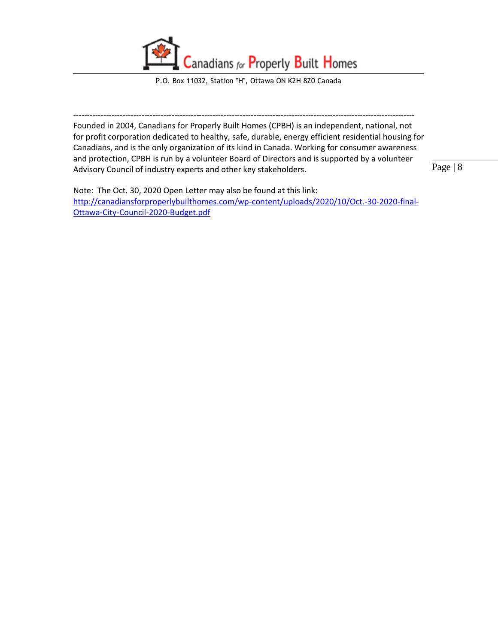

----------------------------------------------------------------------------------------------------------------------------- Founded in 2004, Canadians for Properly Built Homes (CPBH) is an independent, national, not for profit corporation dedicated to healthy, safe, durable, energy efficient residential housing for Canadians, and is the only organization of its kind in Canada. Working for consumer awareness and protection, CPBH is run by a volunteer Board of Directors and is supported by a volunteer Advisory Council of industry experts and other key stakeholders.

Page | 8

Note: The Oct. 30, 2020 Open Letter may also be found at this link: [http://canadiansforproperlybuilthomes.com/wp-content/uploads/2020/10/Oct.-30-2020-final-](http://canadiansforproperlybuilthomes.com/wp-content/uploads/2020/10/Oct.-30-2020-final-Ottawa-City-Council-2020-Budget.pdf)[Ottawa-City-Council-2020-Budget.pdf](http://canadiansforproperlybuilthomes.com/wp-content/uploads/2020/10/Oct.-30-2020-final-Ottawa-City-Council-2020-Budget.pdf)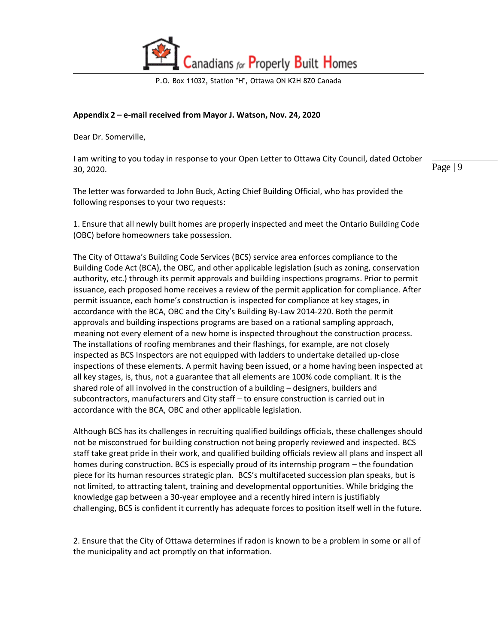

### **Appendix 2 – e-mail received from Mayor J. Watson, Nov. 24, 2020**

Dear Dr. Somerville,

I am writing to you today in response to your Open Letter to Ottawa City Council, dated October 30, 2020.

Page | 9

The letter was forwarded to John Buck, Acting Chief Building Official, who has provided the following responses to your two requests:

1. Ensure that all newly built homes are properly inspected and meet the Ontario Building Code (OBC) before homeowners take possession.

The City of Ottawa's Building Code Services (BCS) service area enforces compliance to the Building Code Act (BCA), the OBC, and other applicable legislation (such as zoning, conservation authority, etc.) through its permit approvals and building inspections programs. Prior to permit issuance, each proposed home receives a review of the permit application for compliance. After permit issuance, each home's construction is inspected for compliance at key stages, in accordance with the BCA, OBC and the City's Building By-Law 2014-220. Both the permit approvals and building inspections programs are based on a rational sampling approach, meaning not every element of a new home is inspected throughout the construction process. The installations of roofing membranes and their flashings, for example, are not closely inspected as BCS Inspectors are not equipped with ladders to undertake detailed up-close inspections of these elements. A permit having been issued, or a home having been inspected at all key stages, is, thus, not a guarantee that all elements are 100% code compliant. It is the shared role of all involved in the construction of a building – designers, builders and subcontractors, manufacturers and City staff – to ensure construction is carried out in accordance with the BCA, OBC and other applicable legislation.

Although BCS has its challenges in recruiting qualified buildings officials, these challenges should not be misconstrued for building construction not being properly reviewed and inspected. BCS staff take great pride in their work, and qualified building officials review all plans and inspect all homes during construction. BCS is especially proud of its internship program – the foundation piece for its human resources strategic plan. BCS's multifaceted succession plan speaks, but is not limited, to attracting talent, training and developmental opportunities. While bridging the knowledge gap between a 30-year employee and a recently hired intern is justifiably challenging, BCS is confident it currently has adequate forces to position itself well in the future.

2. Ensure that the City of Ottawa determines if radon is known to be a problem in some or all of the municipality and act promptly on that information.